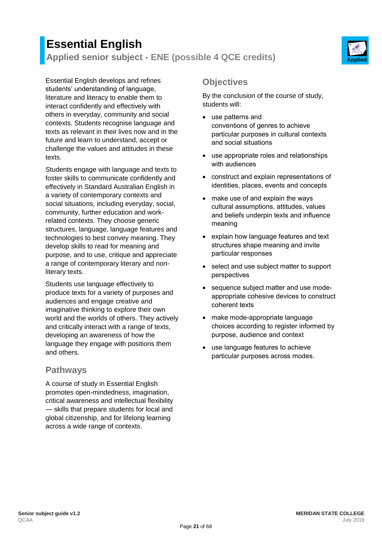# **Essential English Applied senior subject - ENE (possible 4 QCE credits) Applied**



Essential English develops and refines students' understanding of language, literature and literacy to enable them to interact confidently and effectively with others in everyday, community and social contexts. Students recognise language and texts as relevant in their lives now and in the future and learn to understand, accept or challenge the values and attitudes in these texts.

Students engage with language and texts to foster skills to communicate confidently and effectively in Standard Australian English in a variety of contemporary contexts and social situations, including everyday, social, community, further education and workrelated contexts. They choose generic structures, language, language features and technologies to best convey meaning. They develop skills to read for meaning and purpose, and to use, critique and appreciate a range of contemporary literary and nonliterary texts.

Students use language effectively to produce texts for a variety of purposes and audiences and engage creative and imaginative thinking to explore their own world and the worlds of others. They actively and critically interact with a range of texts, developing an awareness of how the language they engage with positions them and others.

### **Pathways**

A course of study in Essential English promotes open-mindedness, imagination, critical awareness and intellectual flexibility — skills that prepare students for local and global citizenship, and for lifelong learning across a wide range of contexts.

## **Objectives**

By the conclusion of the course of study, students will:

- use patterns and conventions of genres to achieve particular purposes in cultural contexts and social situations
- use appropriate roles and relationships with audiences
- construct and explain representations of identities, places, events and concepts
- make use of and explain the ways cultural assumptions, attitudes, values and beliefs underpin texts and influence meaning
- explain how language features and text structures shape meaning and invite particular responses
- select and use subject matter to support perspectives
- sequence subject matter and use modeappropriate cohesive devices to construct coherent texts
- make mode-appropriate language choices according to register informed by purpose, audience and context
- use language features to achieve particular purposes across modes.